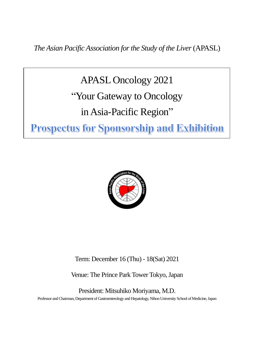*The Asian Pacific Association for the Study of the Liver*(APASL)

APASL Oncology 2021 "Your Gateway to Oncology in Asia-Pacific Region" **Prospectus for Sponsorship and Exhibition** 



Term: December 16 (Thu) - 18(Sat) 2021

Venue: The Prince Park Tower Tokyo, Japan

President: Mitsuhiko Moriyama, M.D. Professor and Chairman, Department of Gastroenterology and Hepatology, Nihon University School of Medicine, Japan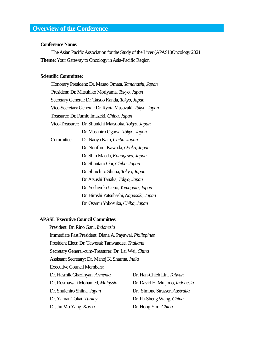## **Overview of the Conference**

#### **Conference Name:**

The Asian Pacific Association for the Study of the Liver (APASL)Oncology 2021 **Theme:**Your Gateway to Oncology in Asia-Pacific Region

#### **Scientific Committee:**

Honorary President: Dr. Masao Omata, *Yamanashi, Japan* President: Dr. Mitsuhiko Moriyama, *Tokyo, Japan* Secretary General: Dr. Tatsuo Kanda, *Tokyo, Japan* Vice-Secretary General: Dr. Ryota Masuzaki, *Tokyo, Japan* Treasurer: Dr. Fumio Imazeki, *Chiba, Japan* Vice-Treasurer: Dr. Shunichi Matsuoka, *Tokyo, Japan* Dr. Masahiro Ogawa, *Tokyo, Japan* Committee: Dr. Naoya Kato, *Chiba, Japan* Dr. Norifumi Kawada, *Osaka, Japan* Dr. Shin Maeda, *Kanagawa, Japan* Dr. Shuntaro Obi, *Chiba, Japan* Dr. Shuichiro Shiina, *Tokyo, Japan* Dr. Atsushi Tanaka, *Tokyo, Japan* Dr. Yoshiyuki Ueno, *Yamagata, Japan* Dr. Hiroshi Yatsuhashi, *Nagasaki, Japan* Dr. Osamu Yokosuka,*Chiba, Japan*

#### **APASL Executive Council Committee:**

President: Dr. Rino Gani, *Indonesia* Immediate Past President: Diana A. Payawal, *Philippines* President Elect: Dr. Tawesak Tanwandee, *Thailand* Secretary General-cum-Treasurer: Dr. Lai Wei, *China* Assistant Secretary: Dr. Manoj K. Sharma, *India* Executive Council Members: Dr. Hasmik Ghazinyan, *Armenia* Dr. Han-Chieh Lin, *Taiwan* Dr. Rosmawati Mohamed, *Malaysia* Dr. David H. Muljono, *Indonesia* Dr. Shuichiro Shiina, *Japan* Dr. Simone Strasser, *Australia* Dr. Yaman Tokat, *Turkey* Dr. Fu-Sheng Wang, *China*

Dr. Jin Mo Yang, *Korea* Dr. Hong You, *China*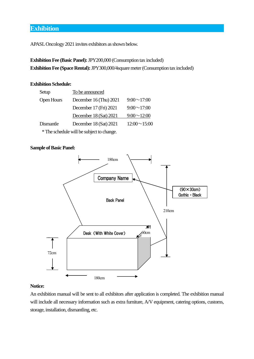## **Exhibition**

APASL Oncology 2021 invites exhibitors as shown below.

**Exhibition Fee (Basic Panel):**JPY200,000 (Consumption tax included) **Exhibition Fee (Space Rental):**JPY300,000/4square meter(Consumption tax included)

## **Exhibition Schedule:**

| Setup             | To be announced        |                    |  |
|-------------------|------------------------|--------------------|--|
| <b>Open Hours</b> | December 16 (Thu) 2021 | $9:00 \sim 17:00$  |  |
|                   | December 17 (Fri) 2021 | $9:00 \sim 17:00$  |  |
|                   | December 18 (Sat) 2021 | $9:00 \sim 12:00$  |  |
| Dismantle         | December 18 (Sat) 2021 | $12:00 \sim 15:00$ |  |

\*The schedule will be subject to change.

## **Sample of Basic Panel:**



## **Notice:**

An exhibition manual will be sent to all exhibitors after application is completed. The exhibition manual will include all necessary information such as extra furniture, A/V equipment, catering options, customs, storage, installation, dismantling, etc.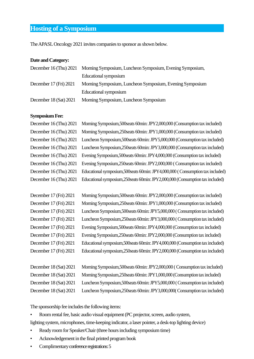## **Hosting of a Symposium**

The APASL Oncology 2021 invites companies to sponsor as shown below.

## **Date and Category:**

|                            | December 16 (Thu) 2021 Morning Symposium, Luncheon Symposium, Evening Symposium, |  |
|----------------------------|----------------------------------------------------------------------------------|--|
|                            | Educational symposium                                                            |  |
| December $17$ (Fri) $2021$ | Morning Symposium, Luncheon Symposium, Evening Symposium                         |  |
|                            | Educational symposium                                                            |  |
| December $18$ (Sat) $2021$ | Morning Symposium, Luncheon Symposium                                            |  |

## **Symposium Fee:**

| December 16 (Thu) 2021 | Morning Symposium, 500 seats 60 min: JPY2,000,000 (Consumption tax included)      |
|------------------------|-----------------------------------------------------------------------------------|
| December 16 (Thu) 2021 | Morning Symposium, 250 seats 60min: JPY1,000,000 (Consumption tax included)       |
| December 16 (Thu) 2021 | Luncheon Symposium, 500 seats 60min: JPY 5,000,000 (Consumption tax included)     |
| December 16 (Thu) 2021 | Luncheon Symposium, 250 seats 60min: JPY3,000,000 (Consumption tax included)      |
| December 16 (Thu) 2021 | Evening Symposium, 500 seats 60 min: JPY4,000,000 (Consumption tax included)      |
| December 16 (Thu) 2021 | Evening Symposium, 250 seats 60 min: JPY 2,000,000 (Consumption tax included)     |
| December 16 (Thu) 2021 | Educational symposium, 500 seats 60 min: JPY4,000,000 (Consumption tax included)  |
| December 16 (Thu) 2021 | Educational symposium, 250 seats 60 min: JPY 2,000,000 (Consumption tax included) |

| December 17 (Fri) 2021 | Morning Symposium, 500 seats 60 min: JPY2,000,000 (Consumption tax included)     |
|------------------------|----------------------------------------------------------------------------------|
| December 17 (Fri) 2021 | Morning Symposium, 250 seats 60min: JPY1,000,000 (Consumption tax included)      |
| December 17 (Fri) 2021 | Luncheon Symposium, 500 seats 60min: JPY5,000,000 (Consumption tax included)     |
| December 17 (Fri) 2021 | Luncheon Symposium, 250 seats 60min: JPY3,000,000 (Consumption tax included)     |
| December 17 (Fri) 2021 | Evening Symposium, 500 seats 60 min: JPY4,000,000 (Consumption tax included)     |
| December 17 (Fri) 2021 | Evening Symposium, 250 seats 60 min: JPY 2,000,000 (Consumption tax included)    |
| December 17 (Fri) 2021 | Educational symposium, 500 seats 60 min: JPY4,000,000 (Consumption tax included) |
| December 17 (Fri) 2021 | Educational symposium, 250 seats 60min: JPY2,000,000 (Consumption tax included)  |

| December 18 (Sat) 2021 | Morning Symposium, 500 seats 60 min: JPY2,000,000 (Consumption tax included)   |
|------------------------|--------------------------------------------------------------------------------|
| December 18 (Sat) 2021 | Morning Symposium, 250 seats 60 min: JPY1,000,000 (Consumption tax included)   |
| December 18 (Sat) 2021 | Luncheon Symposium, 500 seats 60 min: JPY 5,000,000 (Consumption tax included) |
| December 18 (Sat) 2021 | Luncheon Symposium, 250 seats 60 min: JPY3,000,000 Consumption tax included)   |

The sponsorship fee includes the following items:

• Room rental fee, basic audio visual equipment (PC projector, screen, audio system,

lighting system, microphones, time-keeping indicator, a laser pointer, a desk-top lighting device)

- Ready room for Speaker/Chair (three hours including symposium time)
- Acknowledgement in the final printed program book
- Complimentary conference registrations: 5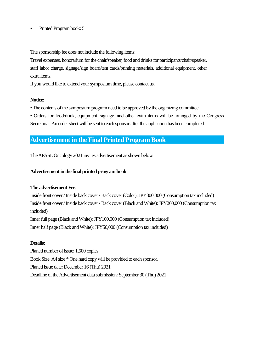## • Printed Program book: 5

The sponsorship fee does not include the following items:

Travel expenses, honorarium for the chair/speaker, food and drinks for participants/chair/speaker, staff labor charge, signage/sign board/tent cards/printing materials, additional equipment, other extra items.

If you would like to extend your symposium time, please contact us.

## **Notice:**

• The contents of the symposium program need to be approved by the organizing committee.

• Orders for food/drink, equipment, signage, and other extra items will be arranged by the Congress Secretariat. An order sheet will be sent to each sponsor after the application has been completed.

## **Advertisement in the Final Printed Program Book**

The APASLOncology 2021 invites advertisement as shown below.

## **Advertisement in the final printed program book**

## **The advertisement Fee:**

Inside front cover / Inside back cover / Back cover (Color): JPY300,000 (Consumption tax included) Inside front cover / Inside back cover / Back cover (Black and White): JPY200,000 (Consumption tax included) Inner full page (Black and White): JPY100,000 (Consumption tax included) Inner half page (Black and White): JPY50,000 (Consumption tax included)

## **Details:**

Planed number of issue: 1,500 copies Book Size: A4 size \* One hard copy will be provided to each sponsor. Planed issue date: December 16 (Thu) 2021 Deadline of the Advertisement data submission: September 30 (Thu) 2021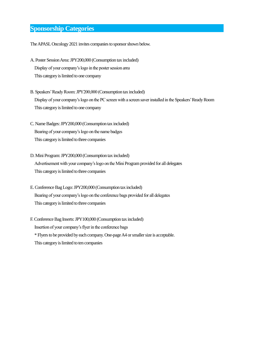## **Sponsorship Categories**

The APASL Oncology 2021 invites companies to sponsor shown below.

- A. Poster Session Area: JPY200,000 (Consumption tax included) Display of your company's logo in the poster session area This category is limited to one company
- B. Speakers' Ready Room: JPY200,000 (Consumption tax included) Display of your company's logo on the PC screen with a screen saver installed in the Speakers'Ready Room This category is limited to one company
- C. Name Badges: JPY200,000 (Consumption tax included) Bearing of your company's logo on the name badges This category is limited to three companies
- D. Mini Program: JPY200,000 (Consumption tax included) Advertisement with your company's logo on the Mini Program provided for all delegates This category is limited to three companies
- E. Conference Bag Logo: JPY200,000 (Consumption tax included) Bearing of your company's logo on the conference bags provided for all delegates This category is limited to three companies

F. Conference Bag Inserts: JPY100,000 (Consumption tax included) Insertion of your company's flyer in the conference bags \* Flyers to be provided by each company. One-pageA4 or smaller size is acceptable. This category is limited to ten companies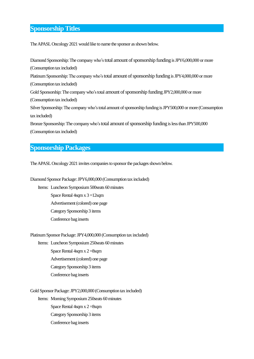## **Sponsorship Titles**

The APASL Oncology 2021 would like to name the sponsor as shown below.

Diamond Sponsorship: The company who's total amount of sponsorship funding is JPY6,000,000 or more (Consumption tax included) Platinum Sponsorship: The company who's total amount of sponsorship funding is JPY4,000,000 or more (Consumption tax included) Gold Sponsorship: The company who's total amount of sponsorship funding JPY2,000,000 or more (Consumption tax included) Silver Sponsorship: The company who's total amount of sponsorship funding is JPY500,000 or more (Consumption tax included) Bronze Sponsorship: The company who's total amount of sponsorship funding is less than JPY500,000

(Consumption tax included)

## **Sponsorship Packages**

The APASL Oncology 2021 invites companies to sponsor the packages shown below.

Diamond Sponsor Package: JPY6,000,000 (Consumption tax included)

Items: Luncheon Symposium 500 seats 60 minutes Space Rental 4sqm x 3 =12sqm Advertisement (colored) one page Category Sponsorship 3 items Conference bag inserts

PlatinumSponsor Package: JPY4,000,000 (Consumption tax included)

Items: Luncheon Symposium250seats 60 minutes Space Rental 4sqm x 2 =8sqm Advertisement (colored) one page Category Sponsorship 3 items Conference bag inserts

Gold Sponsor Package: JPY2,000,000 (Consumption tax included) Items: Morning Symposium 250seats 60 minutes Space Rental 4sqm x 2 =8sqm Category Sponsorship 3 items Conference bag inserts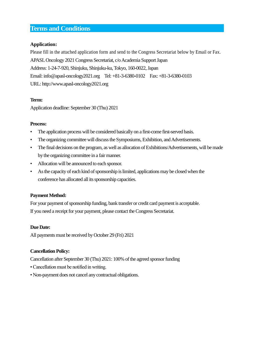## **Terms and Conditions**

## **Application:**

Please fill in the attached application form and send to the Congress Secretariat below by Email or Fax. APASL Oncology 2021 Congress Secretariat, c/o Academia Support Japan Address: 1-24-7-920, Shinjuku, Shinjuku-ku, Tokyo, 160-0022, Japan Email: info@apasl-oncology2021.org Tel: +81-3-6380-0102 Fax: +81-3-6380-0103 URL: http://www.apasl-oncology2021.org

## **Term:**

Application deadline: September 30 (Thu) 2021

## **Process:**

- The application process will be considered basically on a first-come first-served basis.
- The organizing committee will discuss the Symposiums, Exhibition, and Advertisements.
- The final decisions on the program, as well as allocation of Exhibitions/Advertisements, will be made by the organizing committee in a fair manner.
- Allocation will be announced to each sponsor.
- As the capacity of each kind of sponsorship is limited, applications may be closed when the conference has allocated all its sponsorship capacities.

## **Payment Method:**

For your payment of sponsorship funding, bank transfer or credit card payment is acceptable. If you need a receipt for your payment, please contact the Congress Secretariat.

## **Due Date:**

All payments must be received byOctober 29 (Fri) 2021

## **Cancellation Policy:**

Cancellation after September 30 (Thu) 2021: 100% of the agreed sponsor funding

- Cancellation must be notified in writing.
- Non-payment does not cancel any contractual obligations.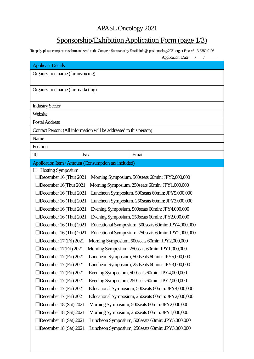# APASL Oncology 2021

# Sponsorship/Exhibition Application Form (page 1/3)

To apply, please complete this form and send to the Congress Secretariat by Email: info@apasl-oncology2021.org or Fax: +81-3-6380-0103

|                                                                                 |                                                       | <b>Application Date:</b>                              |  |  |
|---------------------------------------------------------------------------------|-------------------------------------------------------|-------------------------------------------------------|--|--|
| <b>Applicant Details</b>                                                        |                                                       |                                                       |  |  |
| Organization name (for invoicing)                                               |                                                       |                                                       |  |  |
|                                                                                 |                                                       |                                                       |  |  |
| Organization name (for marketing)                                               |                                                       |                                                       |  |  |
|                                                                                 |                                                       |                                                       |  |  |
| <b>Industry Sector</b>                                                          |                                                       |                                                       |  |  |
| Website                                                                         |                                                       |                                                       |  |  |
| <b>Postal Address</b>                                                           |                                                       |                                                       |  |  |
| Contact Person: (All information will be addressed to this person)              |                                                       |                                                       |  |  |
| Name                                                                            |                                                       |                                                       |  |  |
| Position                                                                        |                                                       |                                                       |  |  |
| <b>Tel</b><br>Fax                                                               |                                                       | Email                                                 |  |  |
| Application Item / Amount (Consumption tax included)                            |                                                       |                                                       |  |  |
| Hosting Symposium:                                                              |                                                       |                                                       |  |  |
| December 16 (Thu) 2021                                                          |                                                       | Morning Symposium, 500 seats 60 min: JPY2,000,000     |  |  |
| December 16(Thu) 2021                                                           |                                                       | Morning Symposium, 250seats 60min: JPY1,000,000       |  |  |
| December 16 (Thu) 2021                                                          |                                                       | Luncheon Symposium, 500seats 60min: JPY5,000,000      |  |  |
| December 16 (Thu) 2021                                                          |                                                       | Luncheon Symposium, 250seats 60min: JPY3,000,000      |  |  |
| December 16 (Thu) 2021                                                          |                                                       | Evening Symposium, 500seats 60min: JPY4,000,000       |  |  |
| December 16 (Thu) 2021                                                          |                                                       | Evening Symposium, 250seats 60min: JPY2,000,000       |  |  |
| December 16 (Thu) 2021                                                          |                                                       | Educational Symposium, 500 seats 60 min: JPY4,000,000 |  |  |
| December 16 (Thu) 2021<br>Educational Symposium, 250 seats 60 min: JPY2,000,000 |                                                       |                                                       |  |  |
| December 17 (Fri) 2021<br>Morning Symposium, 500 seats 60 min: JPY2,000,000     |                                                       |                                                       |  |  |
| December 17(Fri) 2021<br>Morning Symposium, 250seats 60min: JPY1,000,000        |                                                       |                                                       |  |  |
| December 17 (Fri) 2021                                                          |                                                       | Luncheon Symposium, 500 seats 60min: JPY5,000,000     |  |  |
| December 17 (Fri) 2021                                                          | Luncheon Symposium, 250seats 60min: JPY3,000,000      |                                                       |  |  |
| December 17 (Fri) 2021                                                          | Evening Symposium, 500 seats 60 min: JPY4,000,000     |                                                       |  |  |
| December 17 (Fri) 2021<br>Evening Symposium, 250 seats 60 min: JPY2,000,000     |                                                       |                                                       |  |  |
| December 17 (Fri) 2021                                                          | Educational Symposium, 500 seats 60 min: JPY4,000,000 |                                                       |  |  |
| December 17 (Fri) 2021                                                          |                                                       | Educational Symposium, 250seats 60min: JPY2,000,000   |  |  |
| December 18 (Sat) 2021                                                          |                                                       | Morning Symposium, 500 seats 60min: JPY2,000,000      |  |  |
| December 18 (Sat) 2021                                                          | Morning Symposium, 250 seats 60 min: JPY1,000,000     |                                                       |  |  |
| December 18 (Sat) 2021                                                          |                                                       | Luncheon Symposium, 500seats 60min: JPY5,000,000      |  |  |
| December 18 (Sat) 2021                                                          |                                                       | Luncheon Symposium, 250seats 60min: JPY3,000,000      |  |  |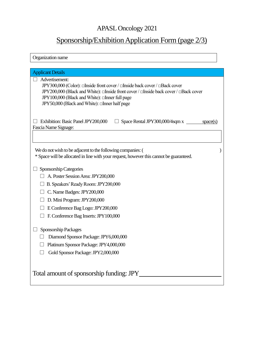# APASL Oncology 2021

# Sponsorship/Exhibition Application Form (page 2/3)

| Organization name                                                                                                                                                                                                                                                                       |  |  |
|-----------------------------------------------------------------------------------------------------------------------------------------------------------------------------------------------------------------------------------------------------------------------------------------|--|--|
| <b>Applicant Details</b>                                                                                                                                                                                                                                                                |  |  |
| Advertisement:<br>JPY300,000 (Color): □Inside front cover / □Inside back cover / □Back cover<br>JPY200,000 (Black and White): □Inside front cover / □Inside back cover / □Back cover<br>JPY100,000 (Black and White): □Inner full page<br>JPY50,000 (Black and White): □Inner half page |  |  |
| Exhibition: Basic Panel JPY200,000<br>Space Rental JPY300,000/4sqm x<br>space(s)<br>Fascia Name Signage:                                                                                                                                                                                |  |  |
| We do not wish to be adjacent to the following companies: (<br>* Space will be allocated in line with your request, however this cannot be guaranteed.                                                                                                                                  |  |  |
| Sponsorship Categories                                                                                                                                                                                                                                                                  |  |  |
| A. Poster Session Area: JPY200,000                                                                                                                                                                                                                                                      |  |  |
| B. Speakers' Ready Room: JPY200,000                                                                                                                                                                                                                                                     |  |  |
| C. Name Badges: JPY200,000                                                                                                                                                                                                                                                              |  |  |
| D. Mini Program: JPY200,000                                                                                                                                                                                                                                                             |  |  |
| E Conference Bag Logo: JPY200,000                                                                                                                                                                                                                                                       |  |  |
| F. Conference Bag Inserts: JPY100,000                                                                                                                                                                                                                                                   |  |  |
| Sponsorship Packages                                                                                                                                                                                                                                                                    |  |  |
| Diamond Sponsor Package: JPY6,000,000                                                                                                                                                                                                                                                   |  |  |
| Platinum Sponsor Package: JPY4,000,000                                                                                                                                                                                                                                                  |  |  |
| Gold Sponsor Package: JPY2,000,000                                                                                                                                                                                                                                                      |  |  |
| Total amount of sponsorship funding: JPY                                                                                                                                                                                                                                                |  |  |